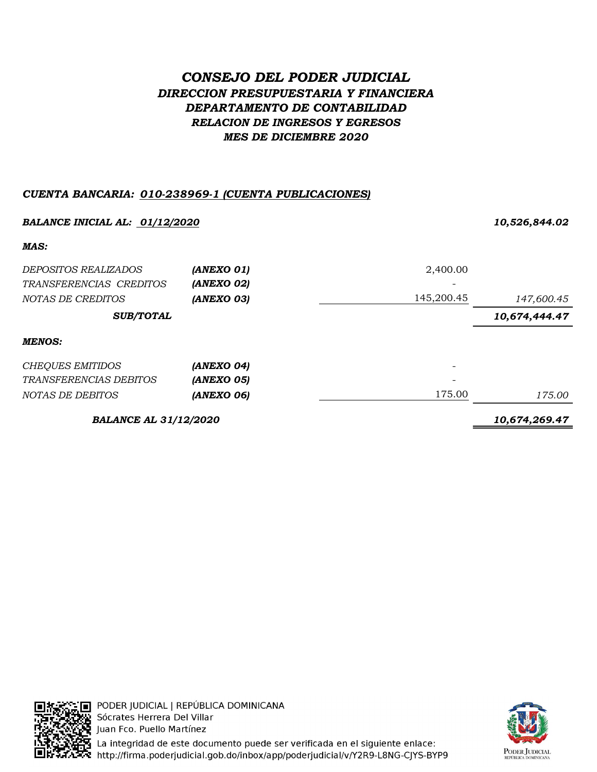# CONSEJO DEL PODER JUDICIAL DIRECCION PRESUPUESTARIA Y FINANCIERA DEPARTAMENTO DE CONTABILIDAD RELACION DE INGRESOS Y EGRESOS MES DE DICIEMBRE 2020

## CUENTA BANCARIA: 010-238969-1 (CUENTA PUBLICACIONES)

| <b>BALANCE INICIAL AL: 01/12/2020</b> |               |            | 10,526,844.02 |  |
|---------------------------------------|---------------|------------|---------------|--|
| MAS:                                  |               |            |               |  |
| DEPOSITOS REALIZADOS                  | (ANEXO 01)    | 2,400.00   |               |  |
| TRANSFERENCIAS CREDITOS               | (ANEXO 02)    |            |               |  |
| NOTAS DE CREDITOS                     | (ANEXO 03)    | 145,200.45 | 147,600.45    |  |
| <b>SUB/TOTAL</b>                      |               |            | 10,674,444.47 |  |
| <b>MENOS:</b>                         |               |            |               |  |
| <b>CHEQUES EMITIDOS</b>               | (ANEXO 04)    |            |               |  |
| <i>TRANSFERENCIAS DEBITOS</i>         | (ANEXO 05)    |            |               |  |
| NOTAS DE DEBITOS                      | (ANEXO 06)    | 175.00     | 175.00        |  |
| <b>BALANCE AL 31/12/2020</b>          | 10,674,269.47 |            |               |  |



PODER JUDICIAL | REPÚBLICA DOMINICANA Sócrates Herrera Del Villar Juan Fco. Puello Martínez



La integridad de este documento puede ser verificada en el siguiente enlace: http://firma.poderjudicial.gob.do/inbox/app/poderjudicial/v/Y2R9-L8NG-CJYS-BYP9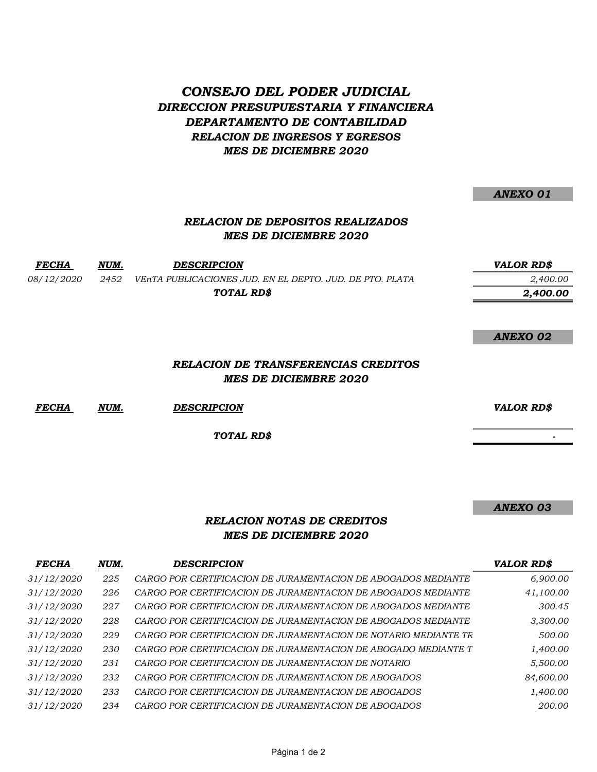## CONSEJO DEL PODER JUDICIAL DIRECCION PRESUPUESTARIA Y FINANCIERA DEPARTAMENTO DE CONTABILIDAD RELACION DE INGRESOS Y EGRESOS MES DE DICIEMBRE 2020

#### ANEXO 01

## RELACION DE DEPOSITOS REALIZADOS MES DE DICIEMBRE 2020

FECHA NUM. DESCRIPCION VALOR RD\$ 08/12/2020 2452 VEnTA PUBLICACIONES JUD. EN EL DEPTO. JUD. DE PTO. PLATA 2,400.00 2,400.00 TOTAL RD\$

#### ANEXO 02

### RELACION DE TRANSFERENCIAS CREDITOS MES DE DICIEMBRE 2020

FECHA NUM. DESCRIPCION VALOR RD\$

TOTAL RD\$

- 1990)<br>1990 - Paul Barbara, política<br>1990 - Paul Barbara, política

ANEXO 03

## RELACION NOTAS DE CREDITOS MES DE DICIEMBRE 2020

| <b>FECHA</b> | NUM. | <b>DESCRIPCION</b>                                              | <b>VALOR RD\$</b> |
|--------------|------|-----------------------------------------------------------------|-------------------|
| 31/12/2020   | 225  | CARGO POR CERTIFICACION DE JURAMENTACION DE ABOGADOS MEDIANTE   | 6,900.00          |
| 31/12/2020   | 226  | CARGO POR CERTIFICACION DE JURAMENTACION DE ABOGADOS MEDIANTE   | 41,100.00         |
| 31/12/2020   | 227  | CARGO POR CERTIFICACION DE JURAMENTACION DE ABOGADOS MEDIANTE   | 300.45            |
| 31/12/2020   | 228  | CARGO POR CERTIFICACION DE JURAMENTACION DE ABOGADOS MEDIANTE   | 3,300.00          |
| 31/12/2020   | 229  | CARGO POR CERTIFICACION DE JURAMENTACION DE NOTARIO MEDIANTE TR | 500.00            |
| 31/12/2020   | 230  | CARGO POR CERTIFICACION DE JURAMENTACION DE ABOGADO MEDIANTE T  | 1,400.00          |
| 31/12/2020   | 231  | CARGO POR CERTIFICACION DE JURAMENTACION DE NOTARIO             | 5,500.00          |
| 31/12/2020   | 232  | CARGO POR CERTIFICACION DE JURAMENTACION DE ABOGADOS            | 84,600.00         |
| 31/12/2020   | 233  | CARGO POR CERTIFICACION DE JURAMENTACION DE ABOGADOS            | 1,400.00          |
| 31/12/2020   | 234  | CARGO POR CERTIFICACION DE JURAMENTACION DE ABOGADOS            | 200.00            |